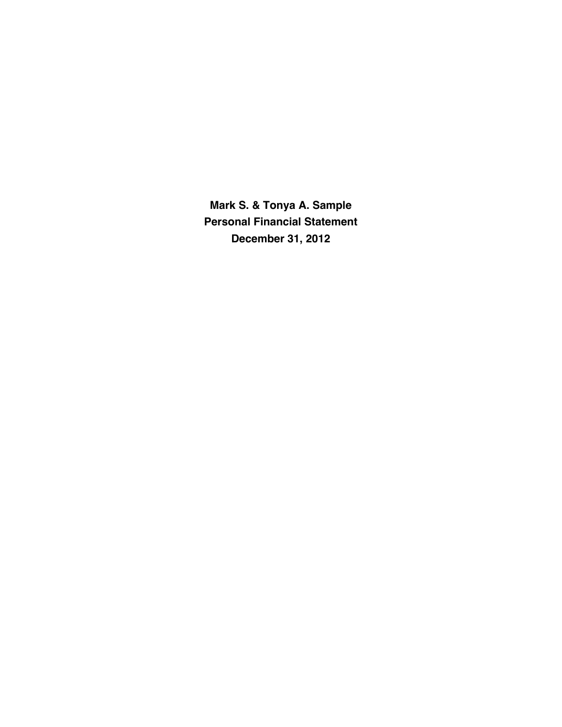**Mark S. & Tonya A. Sample Personal Financial Statement December 31, 2012**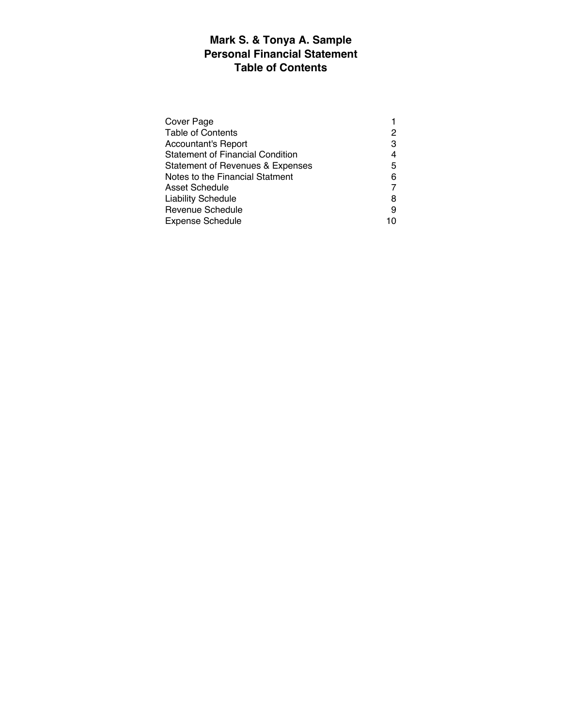# **Mark S. & Tonya A. Sample Personal Financial Statement Table of Contents**

| Cover Page                              |   |
|-----------------------------------------|---|
| <b>Table of Contents</b>                | 2 |
| <b>Accountant's Report</b>              | 3 |
| <b>Statement of Financial Condition</b> | 4 |
| Statement of Revenues & Expenses        | 5 |
| Notes to the Financial Statment         | 6 |
| Asset Schedule                          |   |
| <b>Liability Schedule</b>               | 8 |
| <b>Revenue Schedule</b>                 | 9 |
| <b>Expense Schedule</b>                 |   |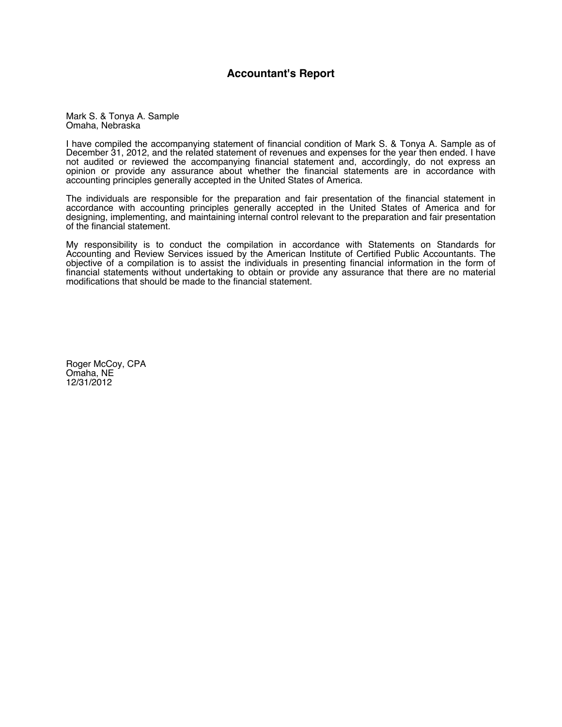#### **Accountant's Report**

Mark S. & Tonya A. Sample Omaha, Nebraska

I have compiled the accompanying statement of financial condition of Mark S. & Tonya A. Sample as of December 31, 2012, and the related statement of revenues and expenses for the year then ended. I have not audited or reviewed the accompanying financial statement and, accordingly, do not express an opinion or provide any assurance about whether the financial statements are in accordance with accounting principles generally accepted in the United States of America.

The individuals are responsible for the preparation and fair presentation of the financial statement in accordance with accounting principles generally accepted in the United States of America and for designing, implementing, and maintaining internal control relevant to the preparation and fair presentation of the financial statement.

My responsibility is to conduct the compilation in accordance with Statements on Standards for Accounting and Review Services issued by the American Institute of Certified Public Accountants. The objective of a compilation is to assist the individuals in presenting financial information in the form of financial statements without undertaking to obtain or provide any assurance that there are no material modifications that should be made to the financial statement.

Roger McCoy, CPA Omaha, NE 12/31/2012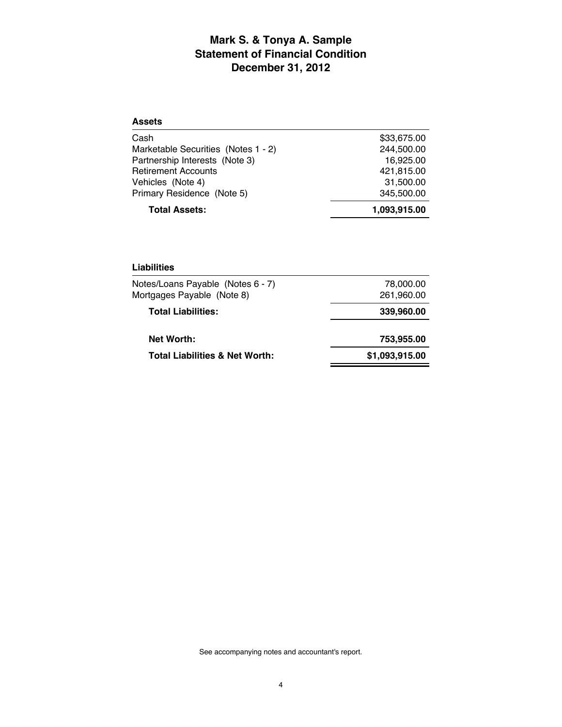## **Mark S. & Tonya A. Sample Statement of Financial Condition December 31, 2012**

| <b>Assets</b>                       |              |
|-------------------------------------|--------------|
| Cash                                | \$33,675.00  |
| Marketable Securities (Notes 1 - 2) | 244,500.00   |
| Partnership Interests (Note 3)      | 16,925.00    |
| <b>Retirement Accounts</b>          | 421,815.00   |
| Vehicles (Note 4)                   | 31,500.00    |
| Primary Residence (Note 5)          | 345,500.00   |
| <b>Total Assets:</b>                | 1,093,915.00 |

| Liabilities                                                     |                         |
|-----------------------------------------------------------------|-------------------------|
| Notes/Loans Payable (Notes 6 - 7)<br>Mortgages Payable (Note 8) | 78,000.00<br>261,960.00 |
| <b>Total Liabilities:</b>                                       | 339,960.00              |
| <b>Net Worth:</b>                                               | 753,955.00              |
| <b>Total Liabilities &amp; Net Worth:</b>                       | \$1,093,915.00          |

See accompanying notes and accountant's report.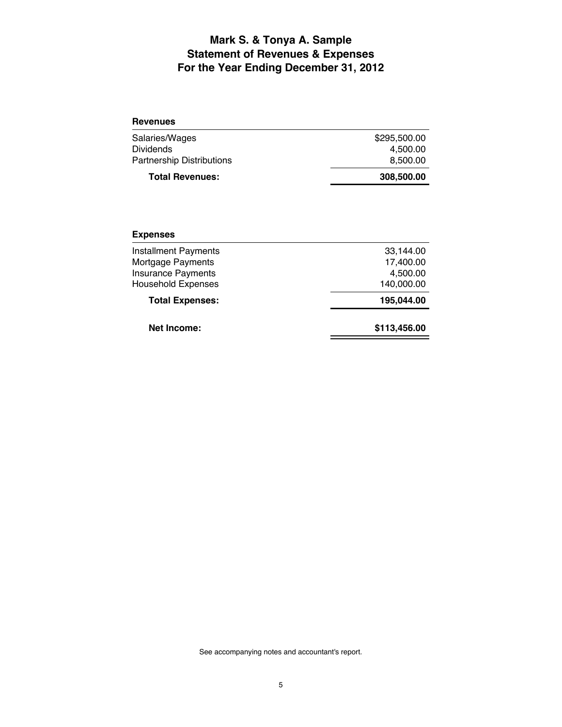## **Mark S. & Tonya A. Sample Statement of Revenues & Expenses For the Year Ending December 31, 2012**

| 308,500.00   |
|--------------|
| 8.500.00     |
| 4.500.00     |
| \$295,500.00 |
|              |

#### **Expenses**

| <b>Net Income:</b>          | \$113,456.00 |
|-----------------------------|--------------|
| <b>Total Expenses:</b>      | 195,044.00   |
| <b>Household Expenses</b>   | 140,000.00   |
| <b>Insurance Payments</b>   | 4,500.00     |
| Mortgage Payments           | 17,400.00    |
| <b>Installment Payments</b> | 33.144.00    |
|                             |              |

See accompanying notes and accountant's report.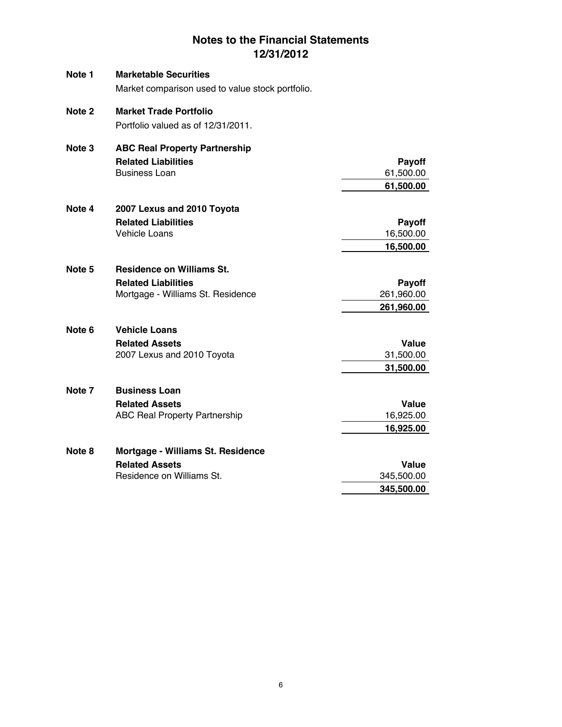## **Notes to the Financial Statements 12/31/2012**

| Note 1 | <b>Marketable Securities</b>                     |            |
|--------|--------------------------------------------------|------------|
|        | Market comparison used to value stock portfolio. |            |
| Note 2 | <b>Market Trade Portfolio</b>                    |            |
|        | Portfolio valued as of 12/31/2011.               |            |
| Note 3 | <b>ABC Real Property Partnership</b>             |            |
|        | <b>Related Liabilities</b>                       | Payoff     |
|        | <b>Business Loan</b>                             | 61,500.00  |
|        |                                                  | 61,500.00  |
| Note 4 | 2007 Lexus and 2010 Toyota                       |            |
|        | <b>Related Liabilities</b>                       | Payoff     |
|        | <b>Vehicle Loans</b>                             | 16,500.00  |
|        |                                                  | 16,500.00  |
| Note 5 | <b>Residence on Williams St.</b>                 |            |
|        | <b>Related Liabilities</b>                       | Payoff     |
|        | Mortgage - Williams St. Residence                | 261,960.00 |
|        |                                                  | 261,960.00 |
| Note 6 | <b>Vehicle Loans</b>                             |            |
|        | <b>Related Assets</b>                            | Value      |
|        | 2007 Lexus and 2010 Toyota                       | 31,500.00  |
|        |                                                  | 31,500.00  |
| Note 7 | <b>Business Loan</b>                             |            |
|        | <b>Related Assets</b>                            | Value      |
|        | <b>ABC Real Property Partnership</b>             | 16,925.00  |
|        |                                                  | 16,925.00  |
| Note 8 | Mortgage - Williams St. Residence                |            |
|        | <b>Related Assets</b>                            | Value      |
|        | Residence on Williams St.                        | 345,500.00 |
|        |                                                  | 345,500.00 |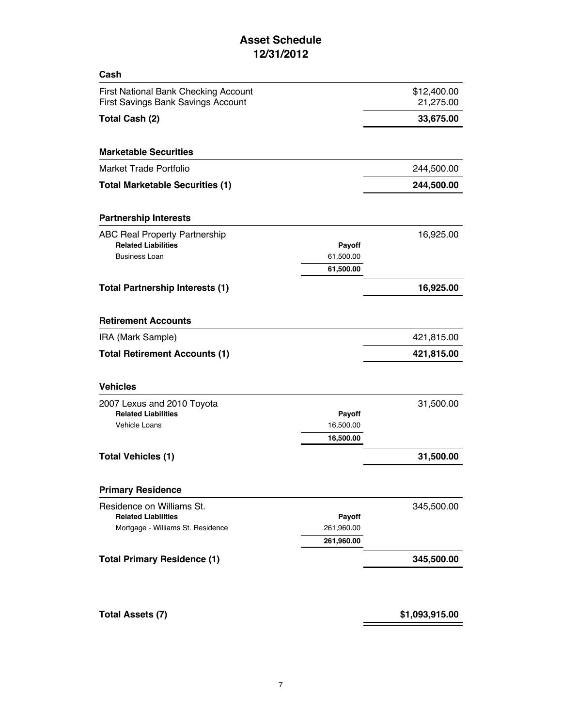## **Asset Schedule 12/31/2012**

| Cash                                      |               |             |
|-------------------------------------------|---------------|-------------|
| First National Bank Checking Account      |               | \$12,400.00 |
| <b>First Savings Bank Savings Account</b> |               | 21,275.00   |
| Total Cash (2)                            |               | 33,675.00   |
| <b>Marketable Securities</b>              |               |             |
| <b>Market Trade Portfolio</b>             |               | 244,500.00  |
| <b>Total Marketable Securities (1)</b>    |               | 244,500.00  |
| <b>Partnership Interests</b>              |               |             |
| <b>ABC Real Property Partnership</b>      |               | 16,925.00   |
| <b>Related Liabilities</b>                | <b>Payoff</b> |             |
| <b>Business Loan</b>                      | 61,500.00     |             |
|                                           | 61,500.00     |             |
| <b>Total Partnership Interests (1)</b>    |               | 16,925.00   |
| <b>Retirement Accounts</b>                |               |             |
| IRA (Mark Sample)                         |               | 421,815.00  |
| <b>Total Retirement Accounts (1)</b>      |               | 421,815.00  |
| <b>Vehicles</b>                           |               |             |
| 2007 Lexus and 2010 Toyota                |               | 31,500.00   |
| <b>Related Liabilities</b>                | Payoff        |             |
| <b>Vehicle Loans</b>                      | 16,500.00     |             |
|                                           | 16,500.00     |             |
| <b>Total Vehicles (1)</b>                 |               | 31,500.00   |
| <b>Primary Residence</b>                  |               |             |
| Residence on Williams St.                 |               | 345,500.00  |
| <b>Related Liabilities</b>                | <b>Payoff</b> |             |
| Mortgage - Williams St. Residence         | 261,960.00    |             |
|                                           | 261,960.00    |             |
| <b>Total Primary Residence (1)</b>        |               | 345,500.00  |

### **Total Assets (7) \$1,093,915.00**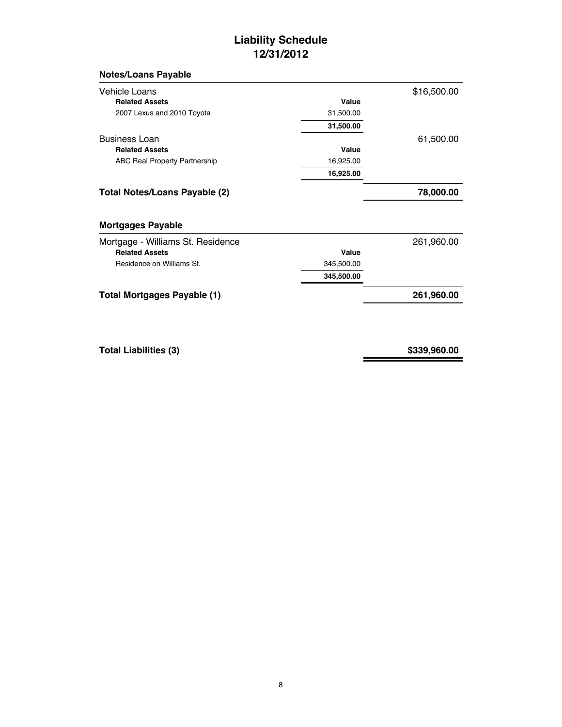## **Liability Schedule 12/31/2012**

### **Notes/Loans Payable**

| Vehicle Loans                                              |            | \$16,500.00 |
|------------------------------------------------------------|------------|-------------|
| <b>Related Assets</b>                                      | Value      |             |
| 2007 Lexus and 2010 Toyota                                 | 31,500.00  |             |
|                                                            | 31,500.00  |             |
| <b>Business Loan</b>                                       |            | 61,500.00   |
| <b>Related Assets</b>                                      | Value      |             |
| <b>ABC Real Property Partnership</b>                       | 16,925.00  |             |
|                                                            | 16,925.00  |             |
|                                                            |            |             |
| Total Notes/Loans Payable (2)                              |            | 78,000.00   |
| <b>Mortgages Payable</b>                                   |            |             |
|                                                            |            |             |
| Mortgage - Williams St. Residence<br><b>Related Assets</b> | Value      | 261,960.00  |
| Residence on Williams St.                                  | 345,500.00 |             |
|                                                            | 345,500.00 |             |

**Total Liabilities (3) \$339,960.00**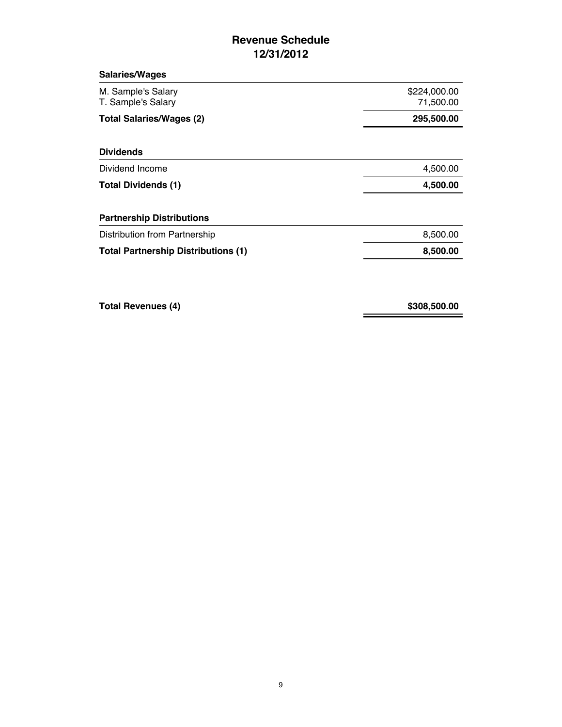## **Revenue Schedule 12/31/2012**

| <b>Salaries/Wages</b>                      |                           |
|--------------------------------------------|---------------------------|
| M. Sample's Salary<br>T. Sample's Salary   | \$224,000.00<br>71,500.00 |
| <b>Total Salaries/Wages (2)</b>            | 295,500.00                |
| <b>Dividends</b>                           |                           |
| Dividend Income                            | 4,500.00                  |
| <b>Total Dividends (1)</b>                 | 4,500.00                  |
| <b>Partnership Distributions</b>           |                           |
| Distribution from Partnership              | 8,500.00                  |
| <b>Total Partnership Distributions (1)</b> | 8,500.00                  |

**Total Revenues (4) \$308,500.00**